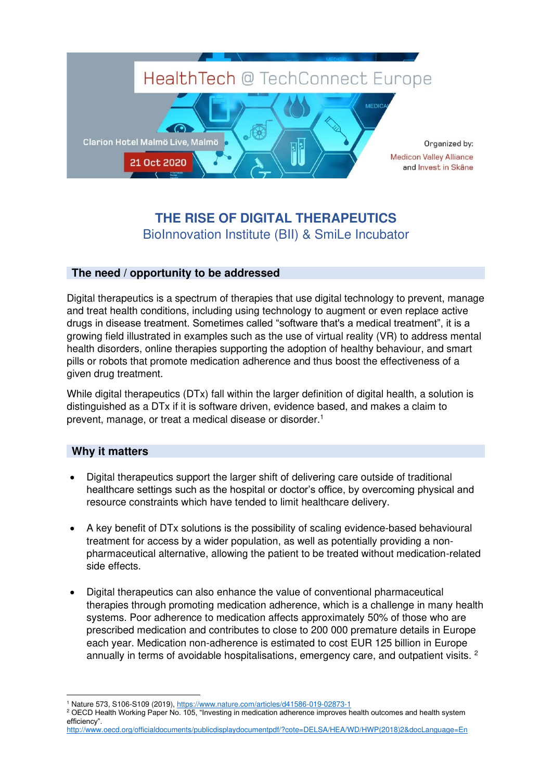

## **THE RISE OF DIGITAL THERAPEUTICS**  BioInnovation Institute (BII) & SmiLe Incubator

## **The need / opportunity to be addressed**

Digital therapeutics is a spectrum of therapies that use digital technology to prevent, manage and treat health conditions, including using technology to augment or even replace active drugs in disease treatment. Sometimes called "software that's a medical treatment", it is a growing field illustrated in examples such as the use of virtual reality (VR) to address mental health disorders, online therapies supporting the adoption of healthy behaviour, and smart pills or robots that promote medication adherence and thus boost the effectiveness of a given drug treatment.

While digital therapeutics (DTx) fall within the larger definition of digital health, a solution is distinguished as a DTx if it is software driven, evidence based, and makes a claim to prevent, manage, or treat a medical disease or disorder.<sup>1</sup>

## **Why it matters**

- Digital therapeutics support the larger shift of delivering care outside of traditional healthcare settings such as the hospital or doctor's office, by overcoming physical and resource constraints which have tended to limit healthcare delivery.
- A key benefit of DTx solutions is the possibility of scaling evidence-based behavioural treatment for access by a wider population, as well as potentially providing a nonpharmaceutical alternative, allowing the patient to be treated without medication-related side effects.
- Digital therapeutics can also enhance the value of conventional pharmaceutical therapies through promoting medication adherence, which is a challenge in many health systems. Poor adherence to medication affects approximately 50% of those who are prescribed medication and contributes to close to 200 000 premature details in Europe each year. Medication non-adherence is estimated to cost EUR 125 billion in Europe annually in terms of avoidable hospitalisations, emergency care, and outpatient visits. <sup>2</sup>

[http://www.oecd.org/officialdocuments/publicdisplaydocumentpdf/?cote=DELSA/HEA/WD/HWP\(2018\)2&docLanguage=En](http://www.oecd.org/officialdocuments/publicdisplaydocumentpdf/?cote=DELSA/HEA/WD/HWP(2018)2&docLanguage=En)

<sup>&</sup>lt;sup>1</sup> Nature 573, S106-S109 (2019),<https://www.nature.com/articles/d41586-019-02873-1>

<sup>&</sup>lt;sup>2</sup> OECD Health Working Paper No. 105, "Investing in medication adherence improves health outcomes and health system efficiency".